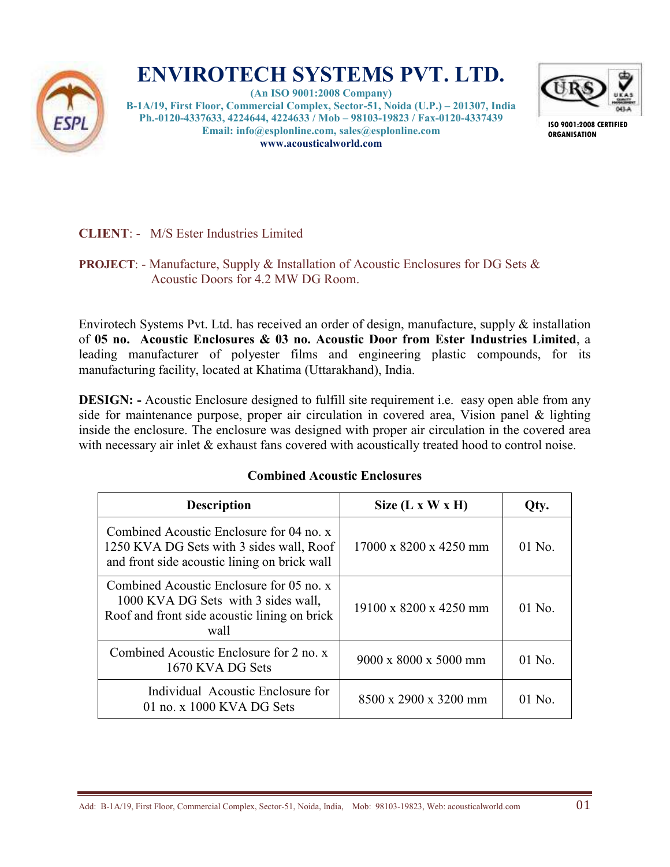

# **ENVIROTECH SYSTEMS PVT. LTD.**

**(An ISO 9001:2008 Company) B-1A/19, First Floor, Commercial Complex, Sector-51, Noida (U.P.) – 201307, India Ph.-0120-4337633, 4224644, 4224633 / Mob – 98103-19823 / Fax-0120-4337439 Email: info@esplonline.com, sales@esplonline.com www.acousticalworld.com** 



**ISO 9001:2008 CERTIFIED ORGANISATION** 

## **CLIENT**: - M/S Ester Industries Limited

## **PROJECT**: - Manufacture, Supply & Installation of Acoustic Enclosures for DG Sets & Acoustic Doors for 4.2 MW DG Room.

Envirotech Systems Pvt. Ltd. has received an order of design, manufacture, supply & installation of **05 no. Acoustic Enclosures & 03 no. Acoustic Door from Ester Industries Limited**, a leading manufacturer of polyester films and engineering plastic compounds, for its manufacturing facility, located at Khatima (Uttarakhand), India.

**DESIGN:** - Acoustic Enclosure designed to fulfill site requirement i.e. easy open able from any side for maintenance purpose, proper air circulation in covered area, Vision panel & lighting inside the enclosure. The enclosure was designed with proper air circulation in the covered area with necessary air inlet & exhaust fans covered with acoustically treated hood to control noise.

## **Combined Acoustic Enclosures**

| <b>Description</b>                                                                                                                      | Size $(L x W x H)$                | Qty.     |
|-----------------------------------------------------------------------------------------------------------------------------------------|-----------------------------------|----------|
| Combined Acoustic Enclosure for 04 no. x<br>1250 KVA DG Sets with 3 sides wall, Roof<br>and front side acoustic lining on brick wall    | 17000 x 8200 x 4250 mm            | $01$ No. |
| Combined Acoustic Enclosure for 05 no. x<br>1000 KVA DG Sets with 3 sides wall,<br>Roof and front side acoustic lining on brick<br>wall | 19100 x 8200 x 4250 mm            | $01$ No. |
| Combined Acoustic Enclosure for 2 no. x<br>1670 KVA DG Sets                                                                             | $9000 \times 8000 \times 5000$ mm | $01$ No. |
| Individual Acoustic Enclosure for<br>01 no. x 1000 KVA DG Sets                                                                          | $8500 \times 2900 \times 3200$ mm | $01$ No. |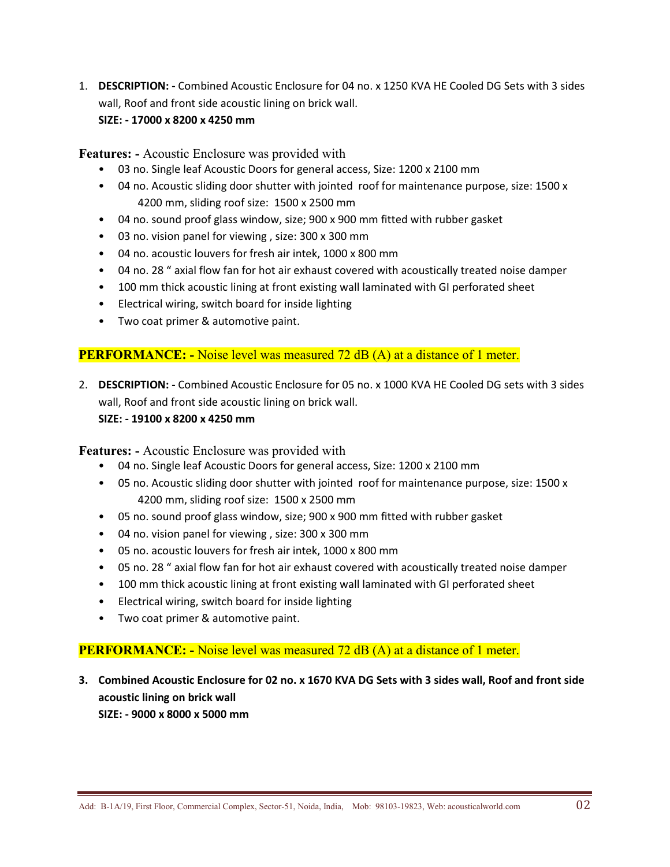1. **DESCRIPTION: -** Combined Acoustic Enclosure for 04 no. x 1250 KVA HE Cooled DG Sets with 3 sides wall, Roof and front side acoustic lining on brick wall.

### **SIZE: - 17000 x 8200 x 4250 mm**

**Features: -** Acoustic Enclosure was provided with

- 03 no. Single leaf Acoustic Doors for general access, Size: 1200 x 2100 mm
- 04 no. Acoustic sliding door shutter with jointed roof for maintenance purpose, size: 1500 x 4200 mm, sliding roof size: 1500 x 2500 mm
- 04 no. sound proof glass window, size; 900 x 900 mm fitted with rubber gasket
- 03 no. vision panel for viewing , size: 300 x 300 mm
- 04 no. acoustic louvers for fresh air intek, 1000 x 800 mm
- 04 no. 28 " axial flow fan for hot air exhaust covered with acoustically treated noise damper
- 100 mm thick acoustic lining at front existing wall laminated with GI perforated sheet
- Electrical wiring, switch board for inside lighting
- Two coat primer & automotive paint.

## **PERFORMANCE:** - Noise level was measured 72 dB (A) at a distance of 1 meter.

2. **DESCRIPTION: -** Combined Acoustic Enclosure for 05 no. x 1000 KVA HE Cooled DG sets with 3 sides wall, Roof and front side acoustic lining on brick wall.

#### **SIZE: - 19100 x 8200 x 4250 mm**

**Features: -** Acoustic Enclosure was provided with

- 04 no. Single leaf Acoustic Doors for general access, Size: 1200 x 2100 mm
- 05 no. Acoustic sliding door shutter with jointed roof for maintenance purpose, size: 1500 x 4200 mm, sliding roof size: 1500 x 2500 mm
- 05 no. sound proof glass window, size; 900 x 900 mm fitted with rubber gasket
- 04 no. vision panel for viewing , size: 300 x 300 mm
- 05 no. acoustic louvers for fresh air intek, 1000 x 800 mm
- 05 no. 28 " axial flow fan for hot air exhaust covered with acoustically treated noise damper
- 100 mm thick acoustic lining at front existing wall laminated with GI perforated sheet
- Electrical wiring, switch board for inside lighting
- Two coat primer & automotive paint.

## **PERFORMANCE:** - Noise level was measured 72 dB (A) at a distance of 1 meter.

**3. Combined Acoustic Enclosure for 02 no. x 1670 KVA DG Sets with 3 sides wall, Roof and front side acoustic lining on brick wall SIZE: - 9000 x 8000 x 5000 mm**